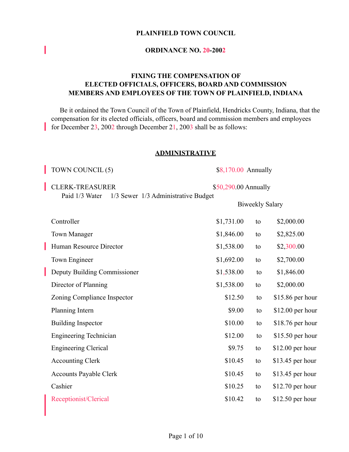## **PLAINFIELD TOWN COUNCIL**

## **ORDINANCE NO. 20-2002**

## **FIXING THE COMPENSATION OF ELECTED OFFICIALS, OFFICERS, BOARD AND COMMISSION MEMBERS AND EMPLOYEES OF THE TOWN OF PLAINFIELD, INDIANA**

 Be it ordained the Town Council of the Town of Plainfield, Hendricks County, Indiana, that the compensation for its elected officials, officers, board and commission members and employees for December 23, 2002 through December 21, 2003 shall be as follows:

#### **ADMINISTRATIVE**

TOWN COUNCIL (5) \$8,170.00 Annually

I

L

I

CLERK-TREASURER \$50,290.00 Annually Paid 1/3 Water 1/3 Sewer 1/3 Administrative Budget

Biweekly Salary

| Controller                    | \$1,731.00 | to | \$2,000.00        |
|-------------------------------|------------|----|-------------------|
| <b>Town Manager</b>           | \$1,846.00 | to | \$2,825.00        |
| Human Resource Director       | \$1,538.00 | to | \$2,300.00        |
| Town Engineer                 | \$1,692.00 | to | \$2,700.00        |
| Deputy Building Commissioner  | \$1,538.00 | to | \$1,846.00        |
| Director of Planning          | \$1,538.00 | to | \$2,000.00        |
| Zoning Compliance Inspector   | \$12.50    | to | $$15.86$ per hour |
| Planning Intern               | \$9.00     | to | $$12.00$ per hour |
| <b>Building Inspector</b>     | \$10.00    | to | $$18.76$ per hour |
| <b>Engineering Technician</b> | \$12.00    | to | $$15.50$ per hour |
| <b>Engineering Clerical</b>   | \$9.75     | to | $$12.00$ per hour |
| <b>Accounting Clerk</b>       | \$10.45    | to | $$13.45$ per hour |
| <b>Accounts Payable Clerk</b> | \$10.45    | to | $$13.45$ per hour |
| Cashier                       | \$10.25    | to | $$12.70$ per hour |
| Receptionist/Clerical         | \$10.42    | to | $$12.50$ per hour |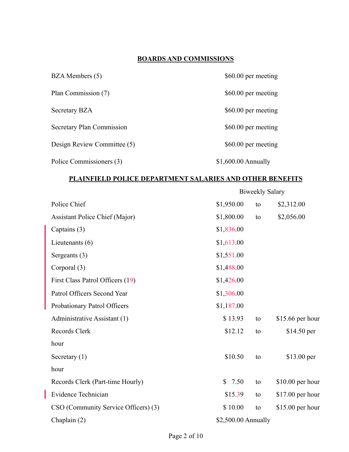## **BOARDS AND COMMISSIONS**

| BZA Members (5)             | \$60.00 per meeting  |
|-----------------------------|----------------------|
| Plan Commission (7)         | \$60.00 per meeting  |
| Secretary BZA               | \$60.00 per meeting  |
| Secretary Plan Commission   | \$60.00 per meeting  |
| Design Review Committee (5) | \$60.00 per meeting  |
| Police Commissioners (3)    | $$1,600.00$ Annually |

## **PLAINFIELD POLICE DEPARTMENT SALARIES AND OTHER BENEFITS**

|                                       | <b>Biweekly Salary</b> |    |                   |
|---------------------------------------|------------------------|----|-------------------|
| Police Chief                          | \$1,950.00             | to | \$2,312.00        |
| <b>Assistant Police Chief (Major)</b> | \$1,800.00             | to | \$2,056.00        |
| Captains (3)                          | \$1,836.00             |    |                   |
| Lieutenants $(6)$                     | \$1,613.00             |    |                   |
| Sergeants (3)                         | \$1,551.00             |    |                   |
| Corporal (3)                          | \$1,488.00             |    |                   |
| First Class Patrol Officers (19)      | \$1,426.00             |    |                   |
| Patrol Officers Second Year           | \$1,306.00             |    |                   |
| Probationary Patrol Officers          | \$1,187.00             |    |                   |
| Administrative Assistant (1)          | \$13.93                | to | $$15.66$ per hour |
| Records Clerk                         | \$12.12                | to | $$14.50$ per      |
| hour                                  |                        |    |                   |
| Secretary $(1)$                       | \$10.50                | to | $$13.00$ per      |
| hour                                  |                        |    |                   |
| Records Clerk (Part-time Hourly)      | \$7.50                 | to | $$10.00$ per hour |
| Evidence Technician                   | \$15.39                | to | $$17.00$ per hour |
| CSO (Community Service Officers) (3)  | \$10.00                | to | \$15.00 per hour  |
| Chaplain (2)                          | \$2,500.00 Annually    |    |                   |

I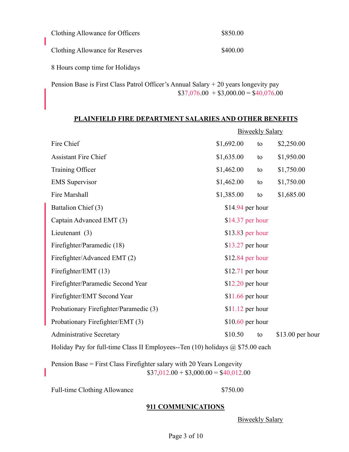| Clothing Allowance for Officers | \$850.00 |
|---------------------------------|----------|
| Clothing Allowance for Reserves | \$400.00 |
| 8 Hours comp time for Holidays  |          |

I

Pension Base is First Class Patrol Officer's Annual Salary + 20 years longevity pay  $$37,076.00 + $3,000.00 = $40,076.00$ 

#### **PLAINFIELD FIRE DEPARTMENT SALARIES AND OTHER BENEFITS**

|                                        |                   | <b>Biweekly Salary</b> |                   |
|----------------------------------------|-------------------|------------------------|-------------------|
| Fire Chief                             | \$1,692.00        | to                     | \$2,250.00        |
| <b>Assistant Fire Chief</b>            | \$1,635.00        | to                     | \$1,950.00        |
| Training Officer                       | \$1,462.00        | to                     | \$1,750.00        |
| <b>EMS</b> Supervisor                  | \$1,462.00        | to                     | \$1,750.00        |
| Fire Marshall                          | \$1,385.00        | to                     | \$1,685.00        |
| Battalion Chief (3)                    | $$14.94$ per hour |                        |                   |
| Captain Advanced EMT (3)               | $$14.37$ per hour |                        |                   |
| Lieutenant $(3)$                       | $$13.83$ per hour |                        |                   |
| Firefighter/Paramedic (18)             | \$13.27 per hour  |                        |                   |
| Firefighter/Advanced EMT (2)           | $$12.84$ per hour |                        |                   |
| Firefighter/EMT (13)                   | $$12.71$ per hour |                        |                   |
| Firefighter/Paramedic Second Year      | $$12.20$ per hour |                        |                   |
| Firefighter/EMT Second Year            | $$11.66$ per hour |                        |                   |
| Probationary Firefighter/Paramedic (3) | $$11.12$ per hour |                        |                   |
| Probationary Firefighter/EMT (3)       | $$10.60$ per hour |                        |                   |
| <b>Administrative Secretary</b>        | \$10.50           | to                     | $$13.00$ per hour |

Holiday Pay for full-time Class II Employees--Ten (10) holidays @ \$75.00 each

Pension Base = First Class Firefighter salary with 20 Years Longevity  $$37,012.00 + $3,000.00 = $40,012.00$ 

Full-time Clothing Allowance \$750.00

#### **911 COMMUNICATIONS**

Biweekly Salary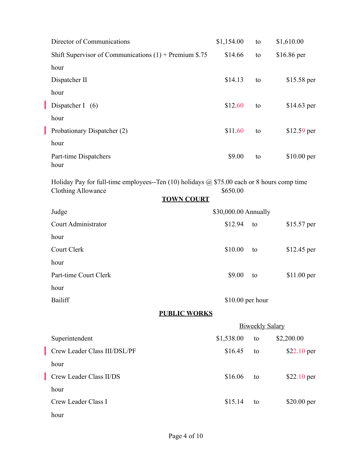| Director of Communications                                                                                                                   | \$1,154.00           | to                     | \$1,610.00   |
|----------------------------------------------------------------------------------------------------------------------------------------------|----------------------|------------------------|--------------|
| Shift Supervisor of Communications $(1)$ + Premium \$.75                                                                                     | \$14.66              | to                     | \$16.86 per  |
| hour                                                                                                                                         |                      |                        |              |
| Dispatcher II                                                                                                                                | \$14.13              | to                     | \$15.58 per  |
| hour                                                                                                                                         |                      |                        |              |
| Dispatcher I $(6)$                                                                                                                           | \$12.60              | to                     | $$14.63$ per |
| hour                                                                                                                                         |                      |                        |              |
| Probationary Dispatcher (2)                                                                                                                  | \$11.60              | to                     | $$12.59$ per |
| hour                                                                                                                                         |                      |                        |              |
| Part-time Dispatchers<br>hour                                                                                                                | \$9.00               | to                     | \$10.00 per  |
| Holiday Pay for full-time employees--Ten (10) holidays $@$75.00$ each or 8 hours comp time<br><b>Clothing Allowance</b><br><b>TOWN COURT</b> | \$650.00             |                        |              |
| Judge                                                                                                                                        | \$30,000.00 Annually |                        |              |
| Court Administrator                                                                                                                          | \$12.94              | to                     | \$15.57 per  |
| hour                                                                                                                                         |                      |                        |              |
| Court Clerk                                                                                                                                  | \$10.00              | to                     | \$12.45 per  |
| hour                                                                                                                                         |                      |                        |              |
| Part-time Court Clerk                                                                                                                        | \$9.00               | to                     | \$11.00 per  |
| hour                                                                                                                                         |                      |                        |              |
| Bailiff                                                                                                                                      | \$10.00 per hour     |                        |              |
| <b>PUBLIC WORKS</b>                                                                                                                          |                      |                        |              |
|                                                                                                                                              |                      | <b>Biweekly Salary</b> |              |
| Superintendent                                                                                                                               | \$1,538.00           | to                     | \$2,200.00   |
| Crew Leader Class III/DSL/PF                                                                                                                 | \$16.45              | to                     | \$22.10 per  |
| hour                                                                                                                                         |                      |                        |              |
| Crew Leader Class II/DS                                                                                                                      | \$16.06              | to                     | $$22.10$ per |
| hour                                                                                                                                         |                      |                        |              |
| Crew Leader Class I                                                                                                                          | \$15.14              | to                     | \$20.00 per  |
| hour                                                                                                                                         |                      |                        |              |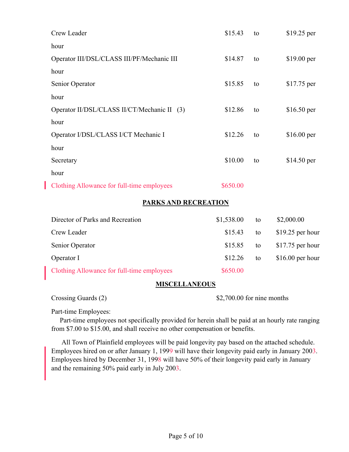| Crew Leader                                                                                                                                                                                                                                                                                                                                                           | \$15.43   | to                                         | $$19.25$ per                                 |
|-----------------------------------------------------------------------------------------------------------------------------------------------------------------------------------------------------------------------------------------------------------------------------------------------------------------------------------------------------------------------|-----------|--------------------------------------------|----------------------------------------------|
| hour                                                                                                                                                                                                                                                                                                                                                                  |           |                                            |                                              |
| Operator III/DSL/CLASS III/PF/Mechanic III                                                                                                                                                                                                                                                                                                                            | \$14.87   | to                                         | $$19.00$ per                                 |
| hour                                                                                                                                                                                                                                                                                                                                                                  |           |                                            |                                              |
| Senior Operator                                                                                                                                                                                                                                                                                                                                                       | \$15.85   | to                                         | \$17.75 per                                  |
| hour                                                                                                                                                                                                                                                                                                                                                                  |           |                                            |                                              |
| Operator II/DSL/CLASS II/CT/Mechanic II (3)                                                                                                                                                                                                                                                                                                                           | \$12.86   | to                                         | \$16.50 per                                  |
| hour                                                                                                                                                                                                                                                                                                                                                                  |           |                                            |                                              |
| Operator I/DSL/CLASS I/CT Mechanic I                                                                                                                                                                                                                                                                                                                                  | \$12.26   | to                                         | \$16.00 per                                  |
| hour                                                                                                                                                                                                                                                                                                                                                                  |           |                                            |                                              |
| Secretary                                                                                                                                                                                                                                                                                                                                                             | \$10.00   | to                                         | \$14.50 per                                  |
| hour                                                                                                                                                                                                                                                                                                                                                                  |           |                                            |                                              |
| Clothing Allowance for full-time employees                                                                                                                                                                                                                                                                                                                            | \$650.00  |                                            |                                              |
| <b>PARKS AND RECREATION</b>                                                                                                                                                                                                                                                                                                                                           |           |                                            |                                              |
| $\mathbf{r}$ .<br>$\sqrt{2}$ $\sqrt{2}$ $\sqrt{2}$ $\sqrt{2}$ $\sqrt{2}$ $\sqrt{2}$ $\sqrt{2}$ $\sqrt{2}$ $\sqrt{2}$ $\sqrt{2}$ $\sqrt{2}$ $\sqrt{2}$ $\sqrt{2}$ $\sqrt{2}$ $\sqrt{2}$ $\sqrt{2}$ $\sqrt{2}$ $\sqrt{2}$ $\sqrt{2}$ $\sqrt{2}$ $\sqrt{2}$ $\sqrt{2}$ $\sqrt{2}$ $\sqrt{2}$ $\sqrt{2}$ $\sqrt{2}$ $\sqrt{2}$ $\sqrt{2$<br>$\overline{1}$ $\overline{D}$ | 01.520.00 | <b>Contract Contract Contract Contract</b> | $\mathbb{A}$ $\land$ $\land$ $\land$ $\land$ |

| Director of Parks and Recreation           | \$1,538.00 | to | \$2,000.00        |
|--------------------------------------------|------------|----|-------------------|
| Crew Leader                                | \$15.43    | to | $$19.25$ per hour |
| Senior Operator                            | \$15.85    | to | $$17.75$ per hour |
| Operator I                                 | \$12.26    | to | $$16.00$ per hour |
| Clothing Allowance for full-time employees | \$650.00   |    |                   |

## **MISCELLANEOUS**

I

Crossing Guards (2) \$2,700.00 for nine months

Part-time Employees:

 Part-time employees not specifically provided for herein shall be paid at an hourly rate ranging from \$7.00 to \$15.00, and shall receive no other compensation or benefits.

All Town of Plainfield employees will be paid longevity pay based on the attached schedule. Employees hired on or after January 1, 1999 will have their longevity paid early in January 2003. Employees hired by December 31, 1998 will have 50% of their longevity paid early in January and the remaining 50% paid early in July 2003.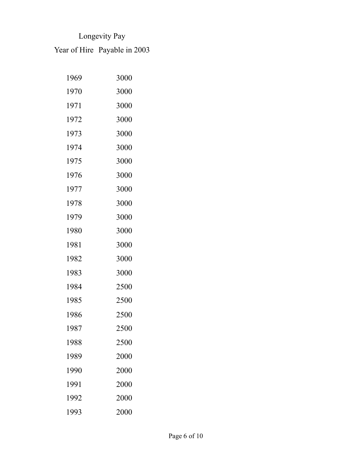# Longevity Pay

Year of Hire Payable in 2003

| 1969 | 3000 |
|------|------|
| 1970 | 3000 |
| 1971 | 3000 |
| 1972 | 3000 |
| 1973 | 3000 |
| 1974 | 3000 |
| 1975 | 3000 |
| 1976 | 3000 |
| 1977 | 3000 |
| 1978 | 3000 |
| 1979 | 3000 |
| 1980 | 3000 |
| 1981 | 3000 |
| 1982 | 3000 |
| 1983 | 3000 |
| 1984 | 2500 |
| 1985 | 2500 |
| 1986 | 2500 |
| 1987 | 2500 |
| 1988 | 2500 |
| 1989 | 2000 |
| 1990 | 2000 |
| 1991 | 2000 |
| 1992 | 2000 |
| 1993 | 2000 |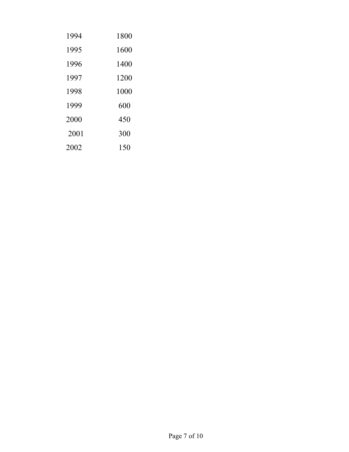| 1994 | 1800 |
|------|------|
| 1995 | 1600 |
| 1996 | 1400 |
| 1997 | 1200 |
| 1998 | 1000 |
| 1999 | 600  |
| 2000 | 450  |
| 2001 | 300  |
| 2002 | 150  |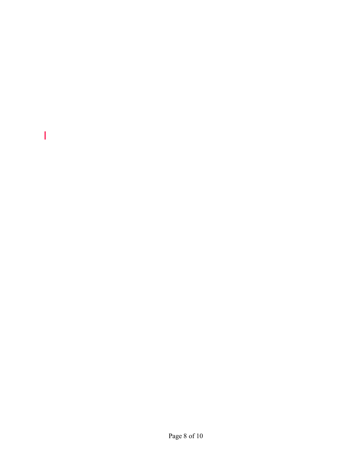Page 8 of 10

 $\mathsf I$